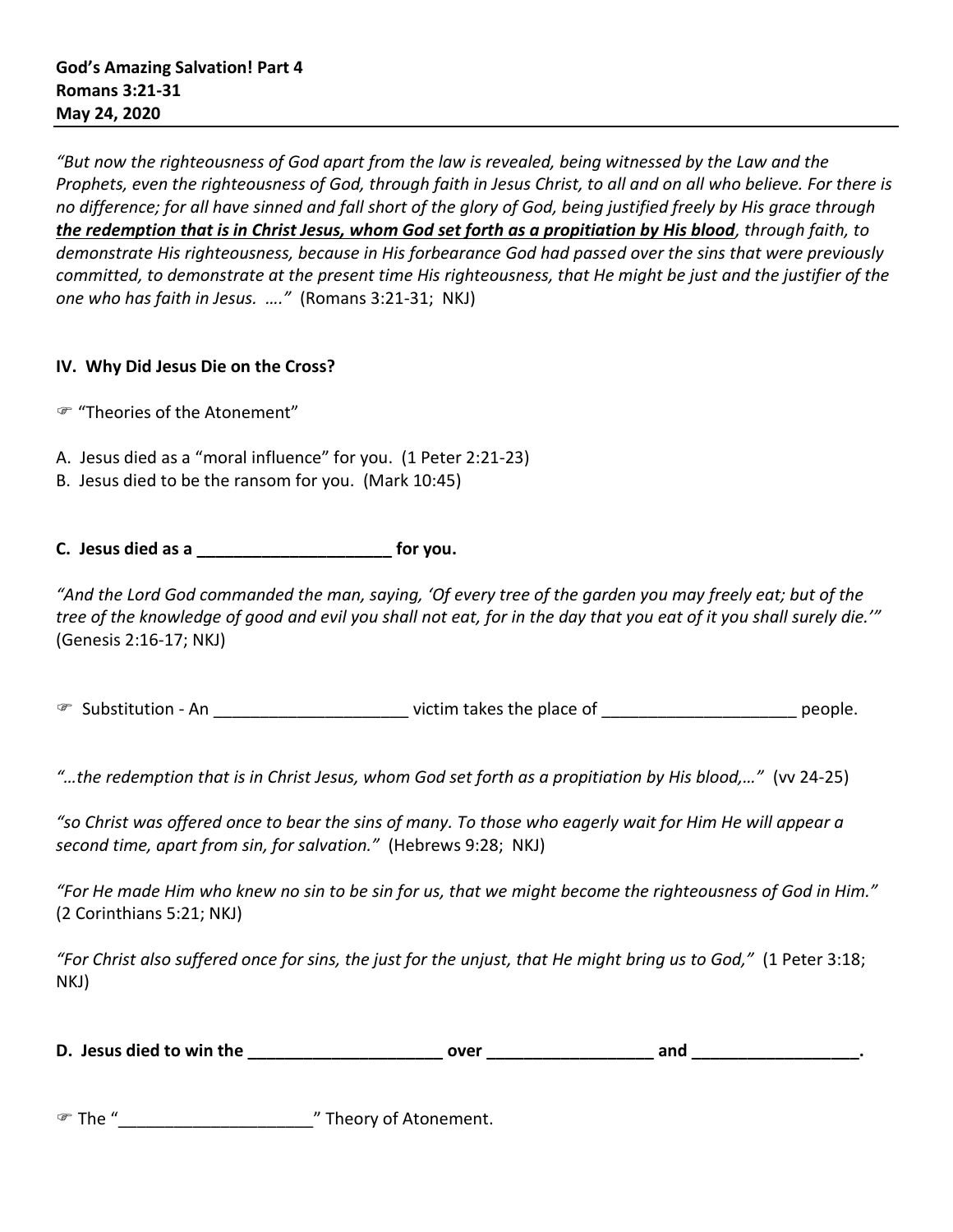*"But now the righteousness of God apart from the law is revealed, being witnessed by the Law and the Prophets, even the righteousness of God, through faith in Jesus Christ, to all and on all who believe. For there is no difference; for all have sinned and fall short of the glory of God, being justified freely by His grace through the redemption that is in Christ Jesus, whom God set forth as a propitiation by His blood, through faith, to demonstrate His righteousness, because in His forbearance God had passed over the sins that were previously committed, to demonstrate at the present time His righteousness, that He might be just and the justifier of the one who has faith in Jesus. …."* (Romans 3:21-31; NKJ)

## **IV. Why Did Jesus Die on the Cross?**

- "Theories of the Atonement"
- A. Jesus died as a "moral influence" for you. (1 Peter 2:21-23)
- B. Jesus died to be the ransom for you. (Mark 10:45)

## **C. Jesus died as a \_\_\_\_\_\_\_\_\_\_\_\_\_\_\_\_\_\_\_\_\_ for you.**

*"And the Lord God commanded the man, saying, 'Of every tree of the garden you may freely eat; but of the tree of the knowledge of good and evil you shall not eat, for in the day that you eat of it you shall surely die.'"*  (Genesis 2:16-17; NKJ)

G Substitution - An \_\_\_\_\_\_\_\_\_\_\_\_\_\_\_\_\_\_\_\_\_\_\_\_\_\_\_\_ victim takes the place of \_\_\_\_\_\_\_\_\_\_\_\_\_\_\_\_\_\_\_\_\_\_\_\_\_\_\_\_\_\_\_ people.

*"…the redemption that is in Christ Jesus, whom God set forth as a propitiation by His blood,…"* (vv 24-25)

*"so Christ was offered once to bear the sins of many. To those who eagerly wait for Him He will appear a second time, apart from sin, for salvation."* (Hebrews 9:28; NKJ)

*"For He made Him who knew no sin to be sin for us, that we might become the righteousness of God in Him."* (2 Corinthians 5:21; NKJ)

*"For Christ also suffered once for sins, the just for the unjust, that He might bring us to God,"* (1 Peter 3:18; NKJ)

| D. Jesus died to win the | over |  | anc |  |
|--------------------------|------|--|-----|--|
|--------------------------|------|--|-----|--|

| ு The " | " Theory of Atonement. |
|---------|------------------------|
|---------|------------------------|